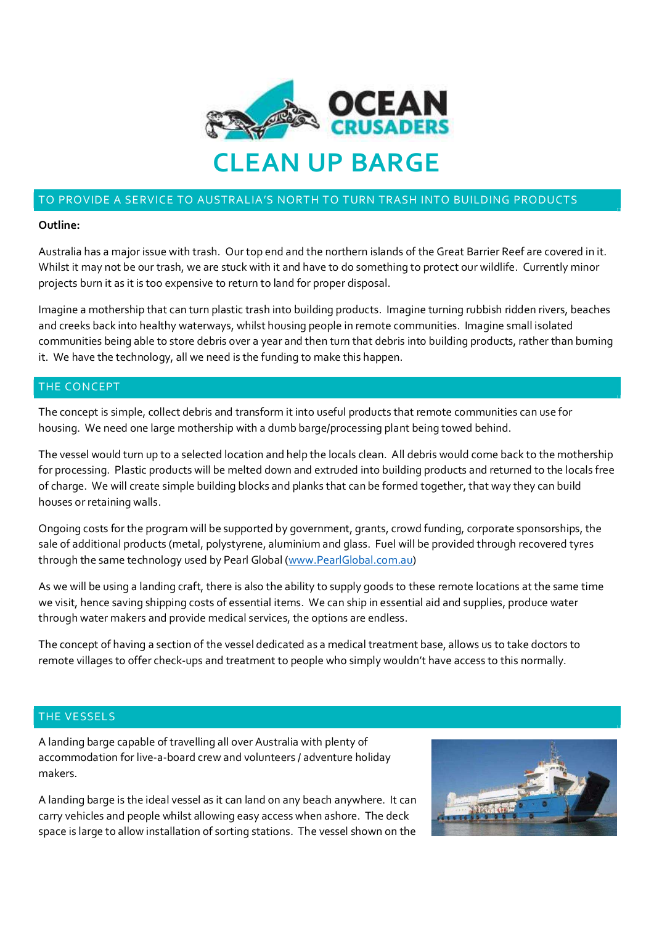

# TO PROVIDE A SERVICE TO AUSTRALIA'S NORTH TO TURN TRASH INTO BUILDING PRODUCTS

#### **Outline:**

Australia has a major issue with trash. Our top end and the northern islands of the Great Barrier Reef are covered in it. Whilst it may not be our trash, we are stuck with it and have to do something to protect our wildlife. Currently minor projects burn it as it is too expensive to return to land for proper disposal.

Imagine a mothership that can turn plastic trash into building products. Imagine turning rubbish ridden rivers, beaches and creeks back into healthy waterways, whilst housing people in remote communities. Imagine small isolated communities being able to store debris over a year and then turn that debris into building products, rather than burning it. We have the technology, all we need is the funding to make this happen.

### THE CONCEPT

The concept is simple, collect debris and transform it into useful products that remote communities can use for housing. We need one large mothership with a dumb barge/processing plant being towed behind.

The vessel would turn up to a selected location and help the locals clean. All debris would come back to the mothership for processing. Plastic products will be melted down and extruded into building products and returned to the locals free of charge. We will create simple building blocks and planks that can be formed together, that way they can build houses or retaining walls.

Ongoing costs for the program will be supported by government, grants, crowd funding, corporate sponsorships, the sale of additional products (metal, polystyrene, aluminium and glass. Fuel will be provided through recovered tyres through the same technology used by Pearl Global (www.PearlGlobal.com.au)

As we will be using a landing craft, there is also the ability to supply goods to these remote locations at the same time we visit, hence saving shipping costs of essential items. We can ship in essential aid and supplies, produce water through water makers and provide medical services, the options are endless.

The concept of having a section of the vessel dedicated as a medical treatment base, allows us to take doctors to remote villages to offer check-ups and treatment to people who simply wouldn't have access to this normally.

## THE VESSELS

A landing barge capable of travelling all over Australia with plenty of accommodation for live-a-board crew and volunteers / adventure holiday makers.

A landing barge is the ideal vessel as it can land on any beach anywhere. It can carry vehicles and people whilst allowing easy access when ashore. The deck space is large to allow installation of sorting stations. The vessel shown on the

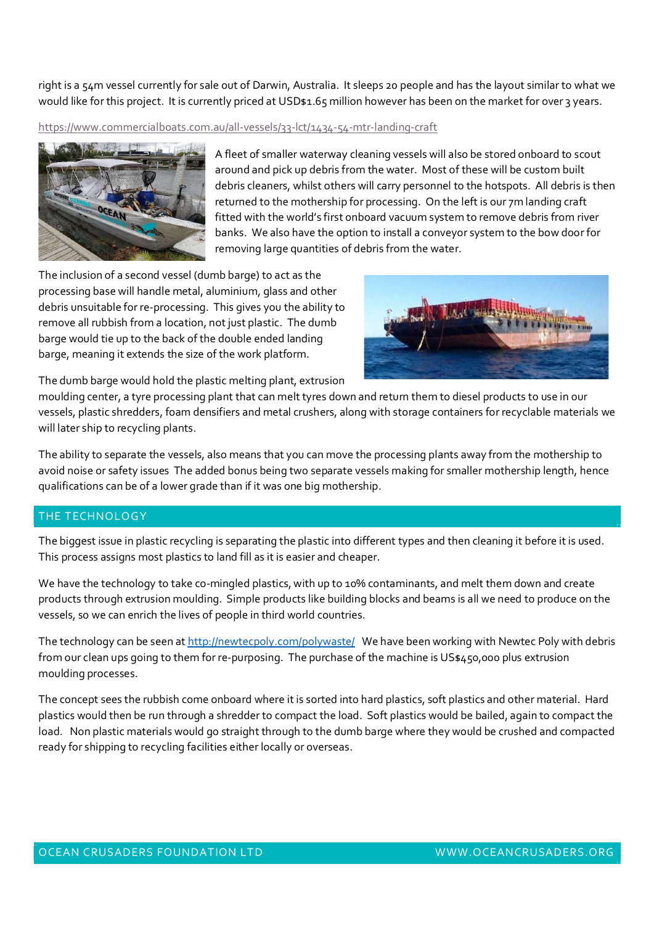right is a 54m vessel currently for sale out of Darwin, Australia. It sleeps 20 people and has the layout similar to what we would like for this project. It is currently priced at USD\$1.65 million however has been on the market for over 3 years.

https://www.commercialboats.com.au/all-vessels/33-lct/1434-54-mtr-landing-craft



A fleet of smaller waterway cleaning vessels will also be stored onboard to scout around and pick up debris from the water. Most of these will be custom built debris cleaners, whilst others will carry personnel to the hotspots. All debris is then returned to the mothership for processing. On the left is our 7m landing craft fitted with the world's first onboard vacuum system to remove debris from river banks. We also have the option to install a conveyor system to the bow door for removing large quantities of debris from the water.

The inclusion of a second vessel (dumb barge) to act as the processing base will handle metal, aluminium, glass and other debris unsuitable for re-processing. This gives you the ability to remove all rubbish from a location, not just plastic. The dumb barge would tie up to the back of the double ended landing barge, meaning it extends the size of the work platform.



The dumb barge would hold the plastic melting plant, extrusion

moulding center, a tyre processing plant that can melt tyres down and return them to diesel products to use in our vessels, plastic shredders, foam densifiers and metal crushers, along with storage containers for recyclable materials we will later ship to recycling plants.

The ability to separate the vessels, also means that you can move the processing plants away from the mothership to avoid noise or safety issues The added bonus being two separate vessels making for smaller mothership length, hence qualifications can be of a lower grade than if it was one big mothership.

# THE TECHNOLOGY

The biggest issue in plastic recycling is separating the plastic into different types and then cleaning it before it is used. This process assigns most plastics to land fill as it is easier and cheaper.

We have the technology to take co-mingled plastics, with up to 10% contaminants, and melt them down and create products through extrusion moulding. Simple products like building blocks and beams is all we need to produce on the vessels, so we can enrich the lives of people in third world countries.

The technology can be seen at http://newtecpoly.com/polywaste/ We have been working with Newtec Poly with debris from our clean ups going to them for re-purposing. The purchase of the machine is US\$450,000 plus extrusion moulding processes.

The concept sees the rubbish come onboard where it is sorted into hard plastics, soft plastics and other material. Hard plastics would then be run through a shredder to compact the load. Soft plastics would be bailed, again to compact the load. Non plastic materials would go straight through to the dumb barge where they would be crushed and compacted ready for shipping to recycling facilities either locally or overseas.